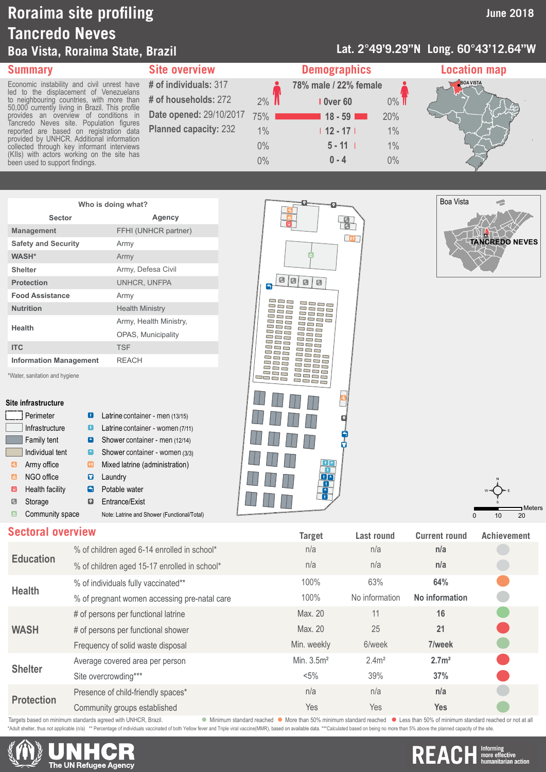## **Roraima site profiling Tancredo Neves Boa Vista, Roraima State, Brazil**

#### **Lat. 2°49'9.29''N Long. 60°43'12.64''W**



| <b>Summary</b>                                                                               | <b>Site overview</b>         |       | <b>Demographics</b>   |         | <b>Location map</b> |  |
|----------------------------------------------------------------------------------------------|------------------------------|-------|-----------------------|---------|---------------------|--|
| Economic instability and civil unrest have<br>led to the displacement of Venezuelans         | # of individuals: 317        |       | 78% male / 22% female |         | <b>BOA VISTA</b>    |  |
| to neighbouring countries, with more than<br>50,000 currently living in Brazil. This profile | # of households: 272         | $2\%$ | <b>I</b> Over 60      | $0\%$ T |                     |  |
| provides an overview of conditions in                                                        | Date opened: 29/10/2017      | 75%   | $118 - 59$            | 20%     |                     |  |
| Tancredo Neves site. Population figures<br>reported are based on registration data           | <b>Planned capacity: 232</b> | 1%    | $112 - 171$           | 1%      |                     |  |
| provided by UNHCR. Additional information<br>collected through key informant interviews      |                              | $0\%$ | $5 - 11$              | 1%      |                     |  |
| (KIIs) with actors working on the site has<br>been used to support findings.                 |                              | $0\%$ | $0 - 4$               | $0\%$   |                     |  |
|                                                                                              |                              |       |                       |         |                     |  |

| Who is doing what?            |                           |  |  |
|-------------------------------|---------------------------|--|--|
| Sector                        | Agency                    |  |  |
| <b>Management</b>             | FFHI (UNHCR partner)      |  |  |
| <b>Safety and Security</b>    | Army                      |  |  |
| <b>WASH*</b>                  | Army                      |  |  |
| <b>Shelter</b>                | Army, Defesa Civil        |  |  |
| <b>Protection</b>             | UNHCR. UNFPA              |  |  |
| <b>Food Assistance</b>        | Army                      |  |  |
| <b>Nutrition</b>              | <b>Health Ministry</b>    |  |  |
| <b>Health</b>                 | Army, Health Ministry,    |  |  |
|                               | <b>OPAS, Municipality</b> |  |  |
| <b>ITC</b>                    | <b>TSF</b>                |  |  |
| <b>Information Management</b> | <b>RFACH</b>              |  |  |

\*Water, sanitation and hygiene

#### **Site infrastructure**

|                    | Perimeter              | Ð                                                          | Latrine container - men (13/15)             |
|--------------------|------------------------|------------------------------------------------------------|---------------------------------------------|
|                    | Infrastructure         | ÷.                                                         | Latrine container - women (7/11)            |
|                    | Family tent            | 臝                                                          | Shower container - men (12/14)              |
|                    | Individual tent        | $\left[\begin{smallmatrix} 1\\ m \end{smallmatrix}\right]$ | Shower container - women (3/3)              |
| $ \tilde{\tau}_A $ | Army office            | œ                                                          | Mixed latrine (administration)              |
| آها                | NGO office             | o                                                          | Laundry                                     |
| ⋒                  | <b>Health facility</b> | A                                                          | Potable water                               |
| C                  | Storage                | О                                                          | Entrance/Exist                              |
| 西                  | Community space        |                                                            | Note: Latrine and Shower (Functional/Total) |







### **Education** % of children aged 6-14 enrolled in school\* n/a n/a **n/a** % of children aged 15-17 enrolled in school\* % of individuals fully vaccinated\*\* **Health** % of individuals fully vaccinated\*\* **64%** 63% **64% 64% 64% 64% 64% 64% 64% 64% 64% 64% 64% 64% 64% 64% 64% 64% 64% 64% 64% 64% 65% 64%** % of pregnant women accessing pre-natal care **WASH** # of persons per functional latrine Max. 20 11 11 16 # of persons per functional shower Max. 20 25 Frequency of solid waste disposal **1998** Min. weekly 6/week **7/week Shelter** Average covered area per person Min. 3.5m<sup>2</sup> 2.4m<sup>2</sup> 2.7m<sup>2</sup><br>Site overcrowding\*\*\* <br>37% 37% 37% Site overcrowding\*\*\* **Protection** Presence of child-friendly spaces\* n/a n/a **n/a** Community groups established **Sectoral overview Target Last round Current round Achievement**

Targets based on minimum standards agreed with UNHCR, Brazil. More in a standard reached More than 50% minimum standard reached Less than 50% of minimum standard reached or not at all

elter, thus not applicable (n/a) \*\* Percentage of individuals vaccinated of both Yellow fever and Triple viral vaccine(MMR), based on available data. \*\*\*Calculated based on being no more than 5% above the planned capacity